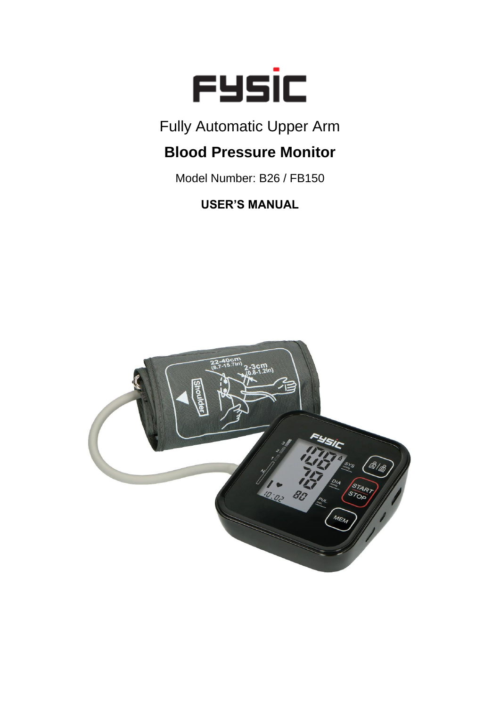

Fully Automatic Upper Arm

# **Blood Pressure Monitor**

Model Number: B26 / FB150

**USER'S MANUAL**

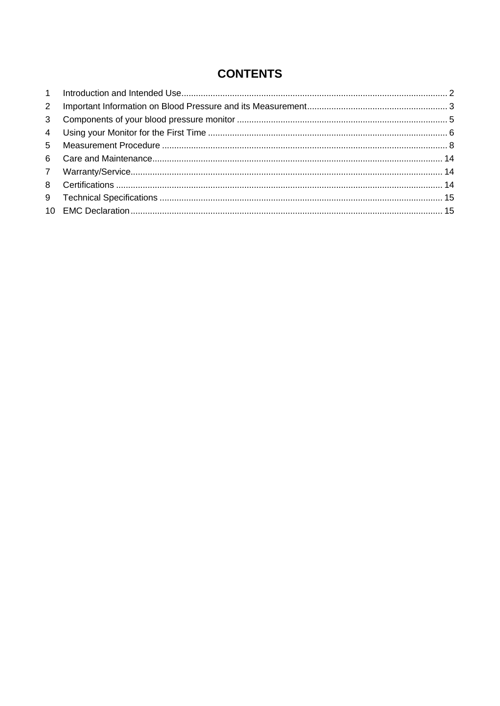## **CONTENTS**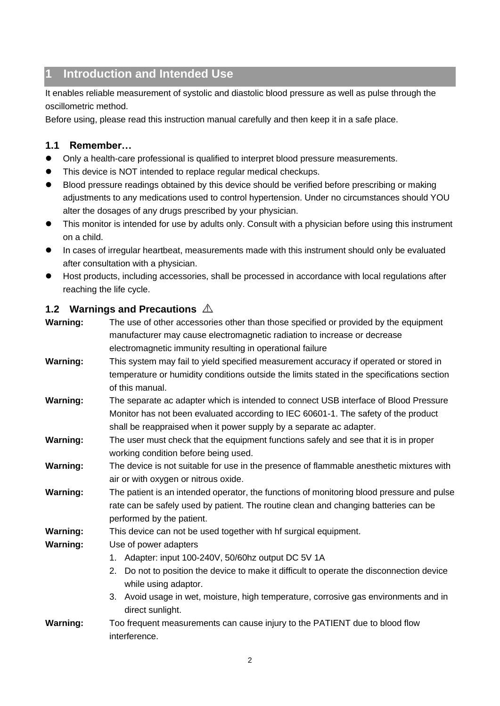## <span id="page-2-0"></span>**1 Introduction and Intended Use**

It enables reliable measurement of systolic and diastolic blood pressure as well as pulse through the oscillometric method.

Before using, please read this instruction manual carefully and then keep it in a safe place.

#### **1.1 Remember…**

- Only a health-care professional is qualified to interpret blood pressure measurements.
- This device is NOT intended to replace regular medical checkups.
- Blood pressure readings obtained by this device should be verified before prescribing or making adjustments to any medications used to control hypertension. Under no circumstances should YOU alter the dosages of any drugs prescribed by your physician.
- This monitor is intended for use by adults only. Consult with a physician before using this instrument on a child.
- ⚫ In cases of irregular heartbeat, measurements made with this instrument should only be evaluated after consultation with a physician.
- Host products, including accessories, shall be processed in accordance with local regulations after reaching the life cycle.

#### **1.2 Warnings and Precautions**

| <b>Warning:</b> | The use of other accessories other than those specified or provided by the equipment         |
|-----------------|----------------------------------------------------------------------------------------------|
|                 | manufacturer may cause electromagnetic radiation to increase or decrease                     |
|                 | electromagnetic immunity resulting in operational failure                                    |
| <b>Warning:</b> | This system may fail to yield specified measurement accuracy if operated or stored in        |
|                 | temperature or humidity conditions outside the limits stated in the specifications section   |
|                 | of this manual.                                                                              |
| <b>Warning:</b> | The separate ac adapter which is intended to connect USB interface of Blood Pressure         |
|                 | Monitor has not been evaluated according to IEC 60601-1. The safety of the product           |
|                 | shall be reappraised when it power supply by a separate ac adapter.                          |
| <b>Warning:</b> | The user must check that the equipment functions safely and see that it is in proper         |
|                 | working condition before being used.                                                         |
| <b>Warning:</b> | The device is not suitable for use in the presence of flammable anesthetic mixtures with     |
|                 | air or with oxygen or nitrous oxide.                                                         |
| <b>Warning:</b> | The patient is an intended operator, the functions of monitoring blood pressure and pulse    |
|                 | rate can be safely used by patient. The routine clean and changing batteries can be          |
|                 | performed by the patient.                                                                    |
| <b>Warning:</b> | This device can not be used together with hf surgical equipment.                             |
| <b>Warning:</b> | Use of power adapters                                                                        |
|                 | Adapter: input 100-240V, 50/60hz output DC 5V 1A<br>1.                                       |
|                 | Do not to position the device to make it difficult to operate the disconnection device<br>2. |
|                 | while using adaptor.                                                                         |
|                 | 3. Avoid usage in wet, moisture, high temperature, corrosive gas environments and in         |
|                 | direct sunlight.                                                                             |
| <b>Warning:</b> | Too frequent measurements can cause injury to the PATIENT due to blood flow                  |
|                 | interference.                                                                                |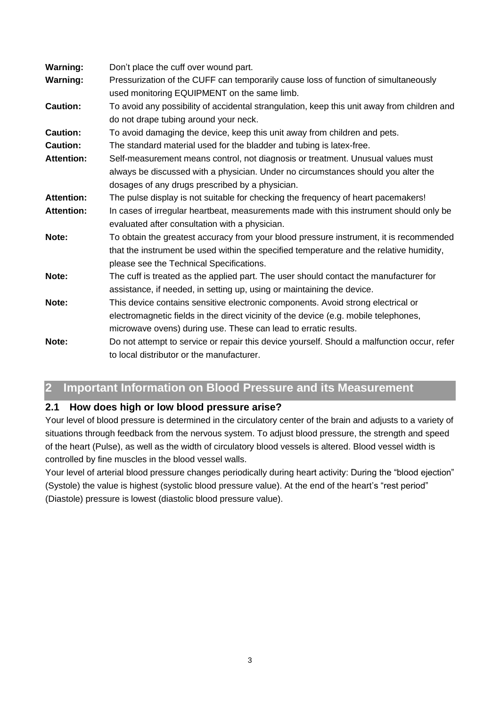| <b>Warning:</b>   | Don't place the cuff over wound part.                                                       |  |  |
|-------------------|---------------------------------------------------------------------------------------------|--|--|
| <b>Warning:</b>   | Pressurization of the CUFF can temporarily cause loss of function of simultaneously         |  |  |
|                   | used monitoring EQUIPMENT on the same limb.                                                 |  |  |
| <b>Caution:</b>   | To avoid any possibility of accidental strangulation, keep this unit away from children and |  |  |
|                   | do not drape tubing around your neck.                                                       |  |  |
| <b>Caution:</b>   | To avoid damaging the device, keep this unit away from children and pets.                   |  |  |
| <b>Caution:</b>   | The standard material used for the bladder and tubing is latex-free.                        |  |  |
| <b>Attention:</b> | Self-measurement means control, not diagnosis or treatment. Unusual values must             |  |  |
|                   | always be discussed with a physician. Under no circumstances should you alter the           |  |  |
|                   | dosages of any drugs prescribed by a physician.                                             |  |  |
| <b>Attention:</b> | The pulse display is not suitable for checking the frequency of heart pacemakers!           |  |  |
| <b>Attention:</b> | In cases of irregular heartbeat, measurements made with this instrument should only be      |  |  |
|                   | evaluated after consultation with a physician.                                              |  |  |
| Note:             | To obtain the greatest accuracy from your blood pressure instrument, it is recommended      |  |  |
|                   | that the instrument be used within the specified temperature and the relative humidity,     |  |  |
|                   | please see the Technical Specifications.                                                    |  |  |
| Note:             | The cuff is treated as the applied part. The user should contact the manufacturer for       |  |  |
|                   | assistance, if needed, in setting up, using or maintaining the device.                      |  |  |
| Note:             | This device contains sensitive electronic components. Avoid strong electrical or            |  |  |
|                   | electromagnetic fields in the direct vicinity of the device (e.g. mobile telephones,        |  |  |
|                   | microwave ovens) during use. These can lead to erratic results.                             |  |  |
| Note:             | Do not attempt to service or repair this device yourself. Should a malfunction occur, refer |  |  |
|                   | to local distributor or the manufacturer.                                                   |  |  |

## <span id="page-3-0"></span>**2 Important Information on Blood Pressure and its Measurement**

#### **2.1 How does high or low blood pressure arise?**

Your level of blood pressure is determined in the circulatory center of the brain and adjusts to a variety of situations through feedback from the nervous system. To adjust blood pressure, the strength and speed of the heart (Pulse), as well as the width of circulatory blood vessels is altered. Blood vessel width is controlled by fine muscles in the blood vessel walls.

Your level of arterial blood pressure changes periodically during heart activity: During the "blood ejection" (Systole) the value is highest (systolic blood pressure value). At the end of the heart's "rest period" (Diastole) pressure is lowest (diastolic blood pressure value).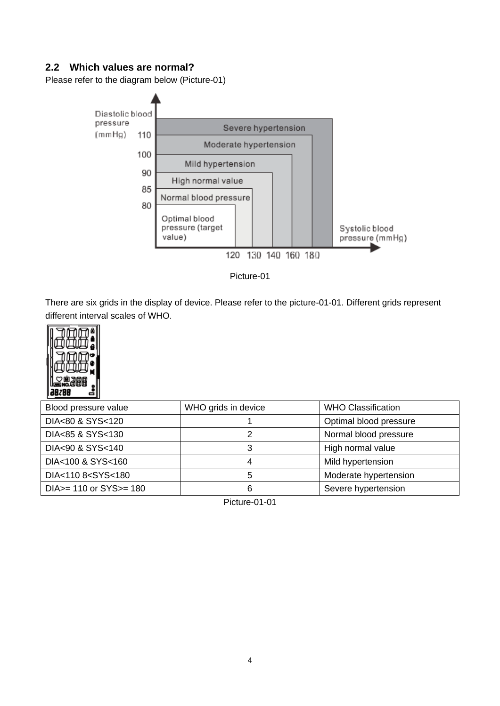### **2.2 Which values are normal?**

Please refer to the diagram below (Picture-01)



Picture-01

There are six grids in the display of device. Please refer to the picture-01-01. Different grids represent different interval scales of WHO.



| Blood pressure value                                                         | WHO grids in device | <b>WHO Classification</b> |
|------------------------------------------------------------------------------|---------------------|---------------------------|
| DIA<80 & SYS<120                                                             |                     | Optimal blood pressure    |
| DIA<85 & SYS<130                                                             |                     | Normal blood pressure     |
| DIA<90 & SYS<140                                                             |                     | High normal value         |
| DIA<100 & SYS<160                                                            |                     | Mild hypertension         |
| DIA<110 8 <sys<180< td=""><td></td><td>Moderate hypertension</td></sys<180<> |                     | Moderate hypertension     |
| $DIA = 110$ or $SYS = 180$                                                   |                     | Severe hypertension       |

Picture-01-01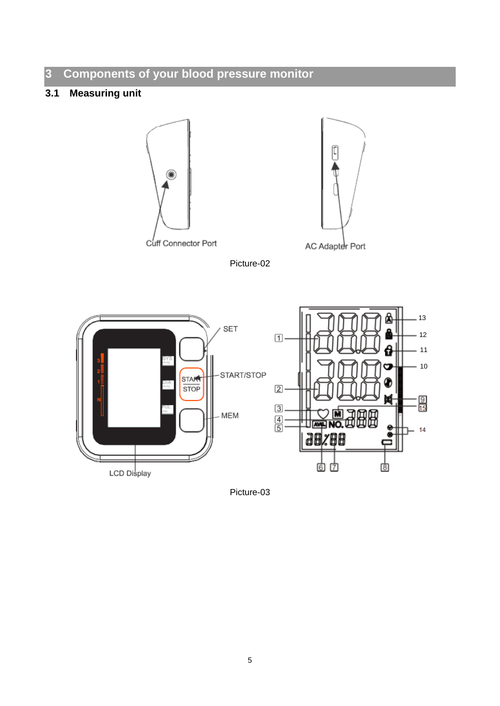## <span id="page-5-0"></span>**Components of your blood pressure monitor**

## **3.1 Measuring unit**





Picture-02



Picture-03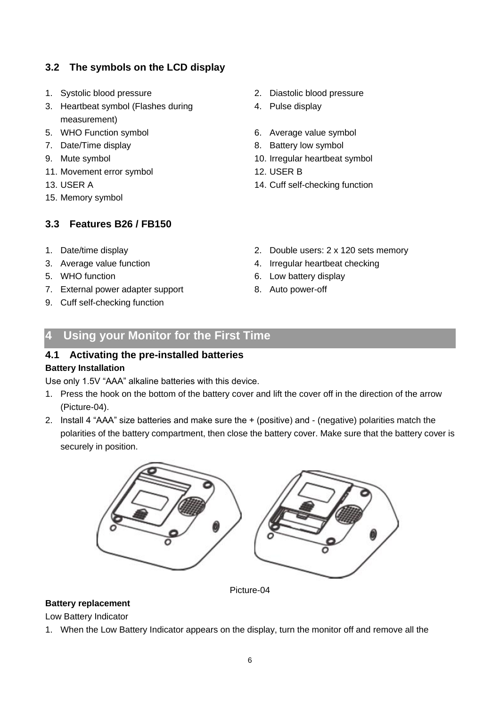## **3.2 The symbols on the LCD display**

- 
- 3. Heartbeat symbol (Flashes during measurement)
- 5. WHO Function symbol 6. Average value symbol
- 
- 
- 11. Movement error symbol 12. USER B
- 
- 15. Memory symbol

## **3.3 Features B26 / FB150**

- 
- 
- 
- 7. External power adapter support 8. Auto power-off
- 9. Cuff self-checking function
- 1. Systolic blood pressure 2. Diastolic blood pressure
	- 4. Pulse display
	-
- 7. Date/Time display example and the state of 8. Battery low symbol
- 9. Mute symbol 10. Irregular heartbeat symbol
	-
- 13. USER A 14. Cuff self-checking function
- 1. Date/time display 2. Double users: 2 x 120 sets memory
- 3. Average value function 4. Irregular heartbeat checking
- 5. WHO function 6. Low battery display
	-

## <span id="page-6-0"></span>**4 Using your Monitor for the First Time**

### **4.1 Activating the pre-installed batteries**

#### **Battery Installation**

Use only 1.5V "AAA" alkaline batteries with this device.

- 1. Press the hook on the bottom of the battery cover and lift the cover off in the direction of the arrow (Picture-04).
- 2. Install 4 "AAA" size batteries and make sure the + (positive) and (negative) polarities match the polarities of the battery compartment, then close the battery cover. Make sure that the battery cover is securely in position.



Picture-04

#### **Battery replacement**

Low Battery Indicator

1. When the Low Battery Indicator appears on the display, turn the monitor off and remove all the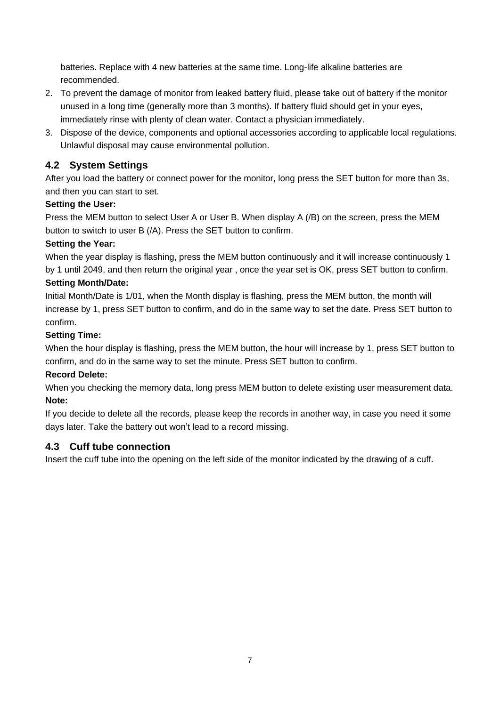batteries. Replace with 4 new batteries at the same time. Long-life alkaline batteries are recommended.

- 2. To prevent the damage of monitor from leaked battery fluid, please take out of battery if the monitor unused in a long time (generally more than 3 months). If battery fluid should get in your eyes, immediately rinse with plenty of clean water. Contact a physician immediately.
- 3. Dispose of the device, components and optional accessories according to applicable local regulations. Unlawful disposal may cause environmental pollution.

### **4.2 System Settings**

After you load the battery or connect power for the monitor, long press the SET button for more than 3s, and then you can start to set.

#### **Setting the User:**

Press the MEM button to select User A or User B. When display A (/B) on the screen, press the MEM button to switch to user B (/A). Press the SET button to confirm.

#### **Setting the Year:**

When the year display is flashing, press the MEM button continuously and it will increase continuously 1 by 1 until 2049, and then return the original year , once the year set is OK, press SET button to confirm.

#### **Setting Month/Date:**

Initial Month/Date is 1/01, when the Month display is flashing, press the MEM button, the month will increase by 1, press SET button to confirm, and do in the same way to set the date. Press SET button to confirm.

#### **Setting Time:**

When the hour display is flashing, press the MEM button, the hour will increase by 1, press SET button to confirm, and do in the same way to set the minute. Press SET button to confirm.

#### **Record Delete:**

When you checking the memory data, long press MEM button to delete existing user measurement data. **Note:**

If you decide to delete all the records, please keep the records in another way, in case you need it some days later. Take the battery out won't lead to a record missing.

#### **4.3 Cuff tube connection**

Insert the cuff tube into the opening on the left side of the monitor indicated by the drawing of a cuff.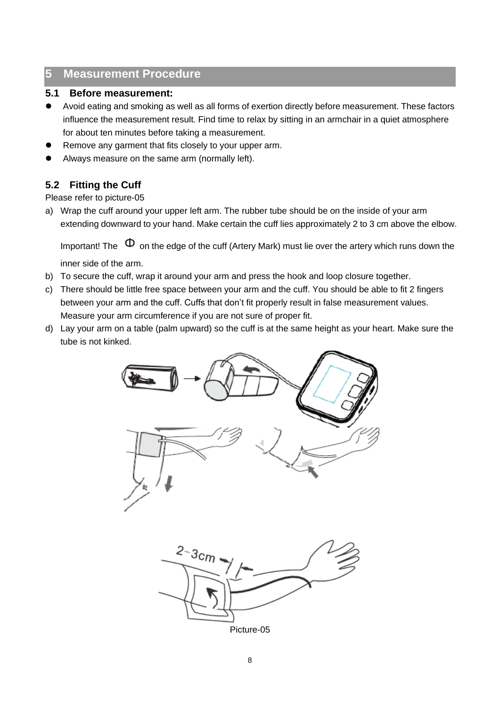## <span id="page-8-0"></span>**5 Measurement Procedure**

#### **5.1 Before measurement:**

- ⚫ Avoid eating and smoking as well as all forms of exertion directly before measurement. These factors influence the measurement result. Find time to relax by sitting in an armchair in a quiet atmosphere for about ten minutes before taking a measurement.
- ⚫ Remove any garment that fits closely to your upper arm.
- ⚫ Always measure on the same arm (normally left).

## **5.2 Fitting the Cuff**

Please refer to picture-05

a) Wrap the cuff around your upper left arm. The rubber tube should be on the inside of your arm extending downward to your hand. Make certain the cuff lies approximately 2 to 3 cm above the elbow.

Important! The  $\Phi$  on the edge of the cuff (Artery Mark) must lie over the artery which runs down the

inner side of the arm.

- b) To secure the cuff, wrap it around your arm and press the hook and loop closure together.
- c) There should be little free space between your arm and the cuff. You should be able to fit 2 fingers between your arm and the cuff. Cuffs that don't fit properly result in false measurement values. Measure your arm circumference if you are not sure of proper fit.
- d) Lay your arm on a table (palm upward) so the cuff is at the same height as your heart. Make sure the tube is not kinked.



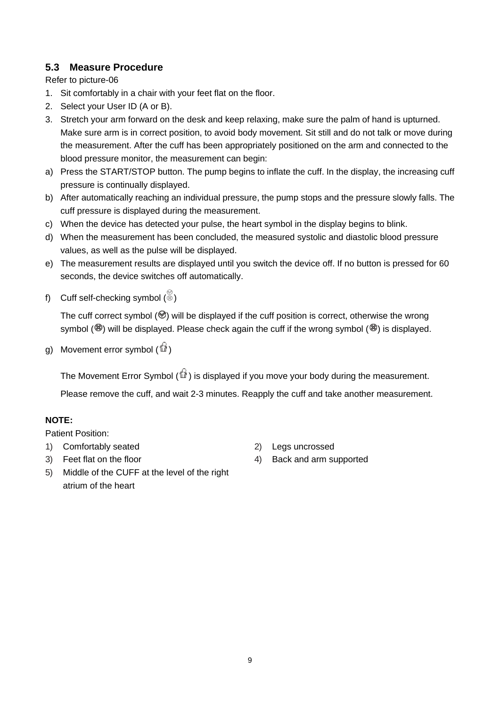## **5.3 Measure Procedure**

Refer to picture-06

- 1. Sit comfortably in a chair with your feet flat on the floor.
- 2. Select your User ID (A or B).
- 3. Stretch your arm forward on the desk and keep relaxing, make sure the palm of hand is upturned. Make sure arm is in correct position, to avoid body movement. Sit still and do not talk or move during the measurement. After the cuff has been appropriately positioned on the arm and connected to the blood pressure monitor, the measurement can begin:
- a) Press the START/STOP button. The pump begins to inflate the cuff. In the display, the increasing cuff pressure is continually displayed.
- b) After automatically reaching an individual pressure, the pump stops and the pressure slowly falls. The cuff pressure is displayed during the measurement.
- c) When the device has detected your pulse, the heart symbol in the display begins to blink.
- d) When the measurement has been concluded, the measured systolic and diastolic blood pressure values, as well as the pulse will be displayed.
- e) The measurement results are displayed until you switch the device off. If no button is pressed for 60 seconds, the device switches off automatically.
- f) Cuff self-checking symbol  $(\stackrel{\otimes}{\otimes})$

The cuff correct symbol  $(\mathcal{O})$  will be displayed if the cuff position is correct, otherwise the wrong symbol ( $\circledast$ ) will be displayed. Please check again the cuff if the wrong symbol ( $\circledast$ ) is displayed.

g) Movement error symbol  $\binom{6}{10}$ 

The Movement Error Symbol  $(\widehat{\mathbb{Q}})$  is displayed if you move your body during the measurement.

Please remove the cuff, and wait 2-3 minutes. Reapply the cuff and take another measurement.

#### **NOTE:**

Patient Position:

- 1) Comfortably seated 2) Legs uncrossed
- 
- 
- 3) Feet flat on the floor 4) Back and arm supported
- 5) Middle of the CUFF at the level of the right atrium of the heart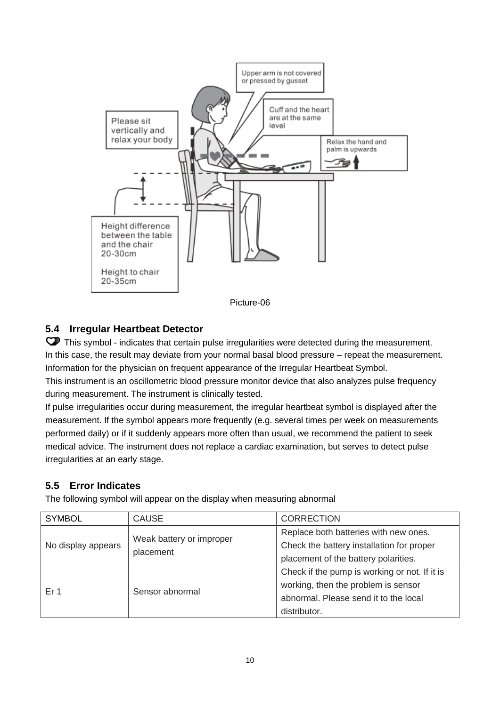

#### Picture-06

## **5.4 Irregular Heartbeat Detector**

This symbol - indicates that certain pulse irregularities were detected during the measurement. In this case, the result may deviate from your normal basal blood pressure – repeat the measurement. Information for the physician on frequent appearance of the Irregular Heartbeat Symbol.

This instrument is an oscillometric blood pressure monitor device that also analyzes pulse frequency during measurement. The instrument is clinically tested.

If pulse irregularities occur during measurement, the irregular heartbeat symbol is displayed after the measurement. If the symbol appears more frequently (e.g. several times per week on measurements performed daily) or if it suddenly appears more often than usual, we recommend the patient to seek medical advice. The instrument does not replace a cardiac examination, but serves to detect pulse irregularities at an early stage.

#### **5.5 Error Indicates**

The following symbol will appear on the display when measuring abnormal

| <b>SYMBOL</b>      | <b>CAUSE</b>                          | <b>CORRECTION</b>                             |  |
|--------------------|---------------------------------------|-----------------------------------------------|--|
|                    | Weak battery or improper<br>placement | Replace both batteries with new ones.         |  |
| No display appears |                                       | Check the battery installation for proper     |  |
|                    |                                       | placement of the battery polarities.          |  |
|                    |                                       | Check if the pump is working or not. If it is |  |
| Er 1               | Sensor abnormal                       | working, then the problem is sensor           |  |
|                    |                                       | abnormal. Please send it to the local         |  |
|                    |                                       | distributor.                                  |  |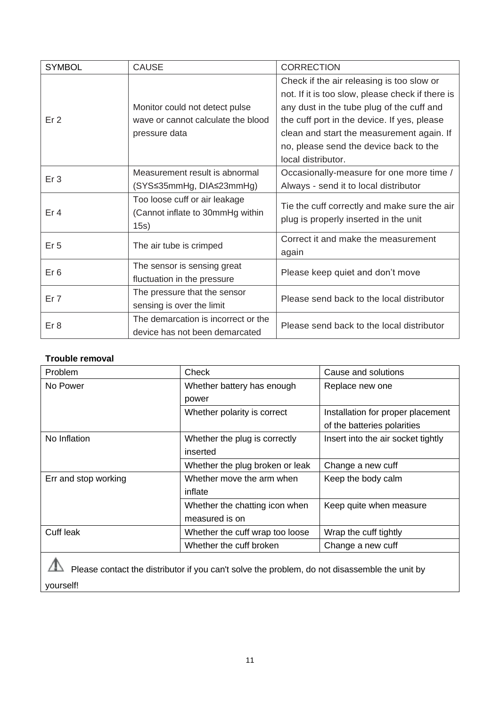| <b>SYMBOL</b>   | <b>CAUSE</b>                        | <b>CORRECTION</b>                                |
|-----------------|-------------------------------------|--------------------------------------------------|
|                 |                                     | Check if the air releasing is too slow or        |
|                 |                                     | not. If it is too slow, please check if there is |
|                 | Monitor could not detect pulse      | any dust in the tube plug of the cuff and        |
| Er <sub>2</sub> | wave or cannot calculate the blood  | the cuff port in the device. If yes, please      |
|                 | pressure data                       | clean and start the measurement again. If        |
|                 |                                     | no, please send the device back to the           |
|                 |                                     | local distributor.                               |
| Er <sub>3</sub> | Measurement result is abnormal      | Occasionally-measure for one more time /         |
|                 | (SYS≤35mmHg, DIA≤23mmHg)            | Always - send it to local distributor            |
|                 | Too loose cuff or air leakage       |                                                  |
| Er <sub>4</sub> | (Cannot inflate to 30mmHg within    | Tie the cuff correctly and make sure the air     |
|                 | 15s)                                | plug is properly inserted in the unit            |
| Er <sub>5</sub> | The air tube is crimped             | Correct it and make the measurement              |
|                 |                                     | again                                            |
| Er <sub>6</sub> | The sensor is sensing great         |                                                  |
|                 | fluctuation in the pressure         | Please keep quiet and don't move                 |
| Er <sub>7</sub> | The pressure that the sensor        | Please send back to the local distributor        |
|                 | sensing is over the limit           |                                                  |
| Er 8            | The demarcation is incorrect or the | Please send back to the local distributor        |
|                 | device has not been demarcated      |                                                  |

#### **Trouble removal**

| Problem              | Check                           | Cause and solutions                |
|----------------------|---------------------------------|------------------------------------|
| No Power             | Whether battery has enough      | Replace new one                    |
|                      | power                           |                                    |
|                      | Whether polarity is correct     | Installation for proper placement  |
|                      |                                 | of the batteries polarities        |
| No Inflation         | Whether the plug is correctly   | Insert into the air socket tightly |
|                      | inserted                        |                                    |
|                      | Whether the plug broken or leak | Change a new cuff                  |
| Err and stop working | Whether move the arm when       | Keep the body calm                 |
|                      | inflate                         |                                    |
|                      | Whether the chatting icon when  | Keep quite when measure            |
|                      | measured is on                  |                                    |
| Cuff leak            | Whether the cuff wrap too loose | Wrap the cuff tightly              |
|                      | Whether the cuff broken         | Change a new cuff                  |

Please contact the distributor if you can't solve the problem, do not disassemble the unit by yourself!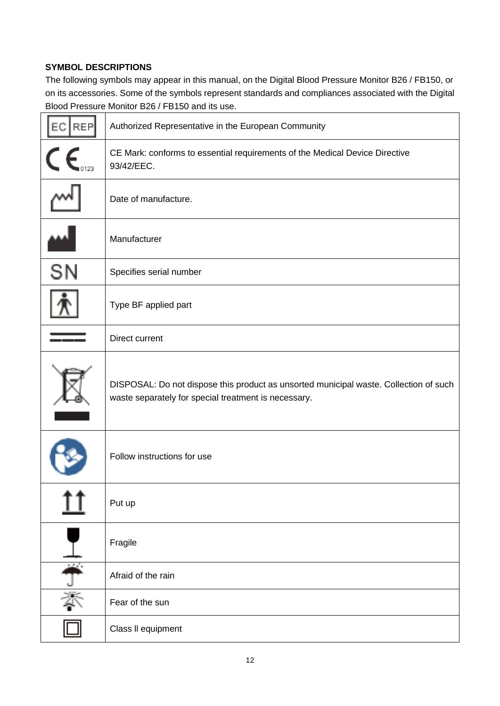### **SYMBOL DESCRIPTIONS**

The following symbols may appear in this manual, on the Digital Blood Pressure Monitor B26 / FB150, or on its accessories. Some of the symbols represent standards and compliances associated with the Digital Blood Pressure Monitor B26 / FB150 and its use.

| <b>REP</b><br>EC     | Authorized Representative in the European Community                                                                                           |  |  |
|----------------------|-----------------------------------------------------------------------------------------------------------------------------------------------|--|--|
| C f                  | CE Mark: conforms to essential requirements of the Medical Device Directive<br>93/42/EEC.                                                     |  |  |
|                      | Date of manufacture.                                                                                                                          |  |  |
|                      | Manufacturer                                                                                                                                  |  |  |
| SN                   | Specifies serial number                                                                                                                       |  |  |
|                      | Type BF applied part                                                                                                                          |  |  |
|                      | Direct current                                                                                                                                |  |  |
|                      | DISPOSAL: Do not dispose this product as unsorted municipal waste. Collection of such<br>waste separately for special treatment is necessary. |  |  |
|                      | Follow instructions for use                                                                                                                   |  |  |
|                      | Put up                                                                                                                                        |  |  |
|                      | Fragile                                                                                                                                       |  |  |
| $\frac{1}{\sqrt{2}}$ | Afraid of the rain                                                                                                                            |  |  |
|                      | Fear of the sun                                                                                                                               |  |  |
|                      | Class II equipment                                                                                                                            |  |  |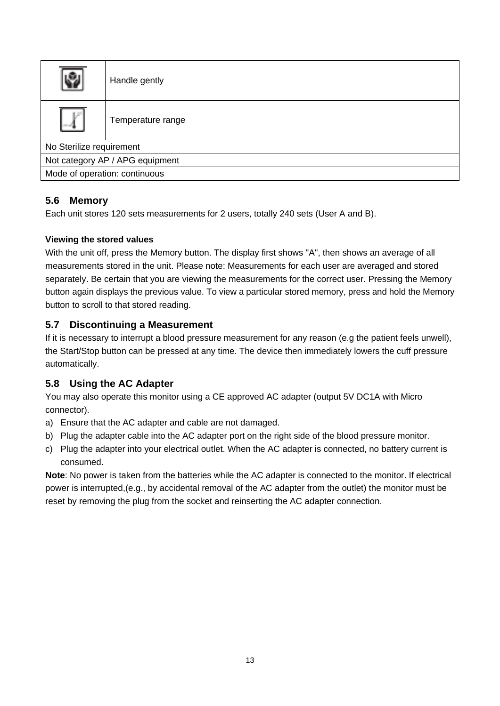|                                 | Handle gently     |  |  |
|---------------------------------|-------------------|--|--|
| V                               | Temperature range |  |  |
| No Sterilize requirement        |                   |  |  |
| Not category AP / APG equipment |                   |  |  |
| Mode of operation: continuous   |                   |  |  |

## **5.6 Memory**

Each unit stores 120 sets measurements for 2 users, totally 240 sets (User A and B).

### **Viewing the stored values**

With the unit off, press the Memory button. The display first shows "A", then shows an average of all measurements stored in the unit. Please note: Measurements for each user are averaged and stored separately. Be certain that you are viewing the measurements for the correct user. Pressing the Memory button again displays the previous value. To view a particular stored memory, press and hold the Memory button to scroll to that stored reading.

## **5.7 Discontinuing a Measurement**

If it is necessary to interrupt a blood pressure measurement for any reason (e.g the patient feels unwell), the Start/Stop button can be pressed at any time. The device then immediately lowers the cuff pressure automatically.

## **5.8 Using the AC Adapter**

You may also operate this monitor using a CE approved AC adapter (output 5V DC1A with Micro connector).

- a) Ensure that the AC adapter and cable are not damaged.
- b) Plug the adapter cable into the AC adapter port on the right side of the blood pressure monitor.
- c) Plug the adapter into your electrical outlet. When the AC adapter is connected, no battery current is consumed.

**Note**: No power is taken from the batteries while the AC adapter is connected to the monitor. If electrical power is interrupted,(e.g., by accidental removal of the AC adapter from the outlet) the monitor must be reset by removing the plug from the socket and reinserting the AC adapter connection.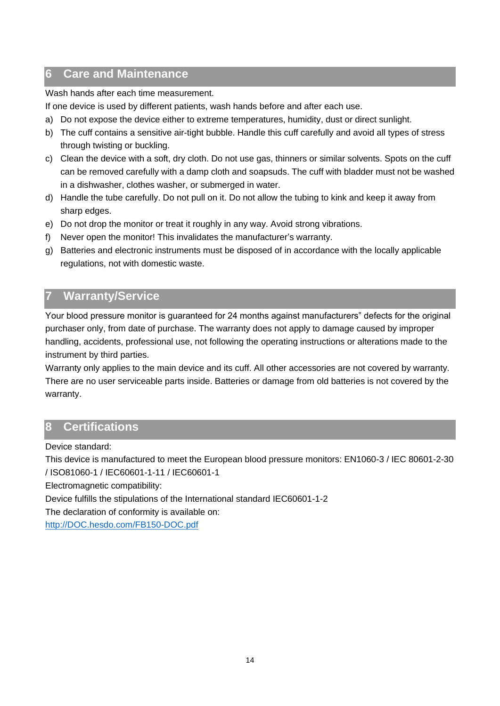## <span id="page-14-0"></span>**6 Care and Maintenance**

Wash hands after each time measurement.

If one device is used by different patients, wash hands before and after each use.

- a) Do not expose the device either to extreme temperatures, humidity, dust or direct sunlight.
- b) The cuff contains a sensitive air-tight bubble. Handle this cuff carefully and avoid all types of stress through twisting or buckling.
- c) Clean the device with a soft, dry cloth. Do not use gas, thinners or similar solvents. Spots on the cuff can be removed carefully with a damp cloth and soapsuds. The cuff with bladder must not be washed in a dishwasher, clothes washer, or submerged in water.
- d) Handle the tube carefully. Do not pull on it. Do not allow the tubing to kink and keep it away from sharp edges.
- e) Do not drop the monitor or treat it roughly in any way. Avoid strong vibrations.
- f) Never open the monitor! This invalidates the manufacturer's warranty.
- g) Batteries and electronic instruments must be disposed of in accordance with the locally applicable regulations, not with domestic waste.

## <span id="page-14-1"></span>**7 Warranty/Service**

Your blood pressure monitor is guaranteed for 24 months against manufacturers" defects for the original purchaser only, from date of purchase. The warranty does not apply to damage caused by improper handling, accidents, professional use, not following the operating instructions or alterations made to the instrument by third parties.

Warranty only applies to the main device and its cuff. All other accessories are not covered by warranty. There are no user serviceable parts inside. Batteries or damage from old batteries is not covered by the warranty.

## <span id="page-14-2"></span>**8 Certifications**

Device standard:

This device is manufactured to meet the European blood pressure monitors: EN1060-3 / IEC 80601-2-30 / ISO81060-1 / IEC60601-1-11 / IEC60601-1

Electromagnetic compatibility:

Device fulfills the stipulations of the International standard IEC60601-1-2

The declaration of conformity is available on:

http://DOC.hesdo.com/FB150-DOC.pdf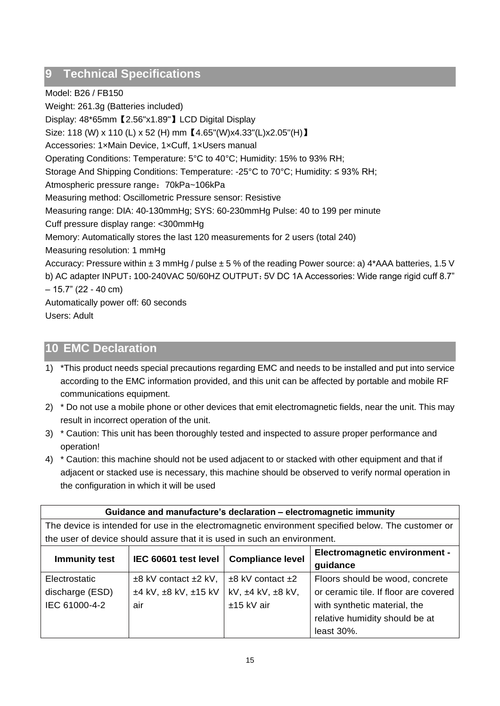## <span id="page-15-0"></span>**9 Technical Specifications**

Model: B26 / FB150

Weight: 261.3g (Batteries included) Display: 48\*65mm【2.56"x1.89"】LCD Digital Display Size: 118 (W) x 110 (L) x 52 (H) mm【4.65"(W)x4.33"(L)x2.05"(H)】 Accessories: 1×Main Device, 1×Cuff, 1×Users manual Operating Conditions: Temperature: 5°C to 40°C; Humidity: 15% to 93% RH; Storage And Shipping Conditions: Temperature: -25°C to 70°C; Humidity: ≤ 93% RH; Atmospheric pressure range: 70kPa~106kPa Measuring method: Oscillometric Pressure sensor: Resistive Measuring range: DIA: 40-130mmHg; SYS: 60-230mmHg Pulse: 40 to 199 per minute Cuff pressure display range: <300mmHg Memory: Automatically stores the last 120 measurements for 2 users (total 240) Measuring resolution: 1 mmHg Accuracy: Pressure within  $\pm 3$  mmHg / pulse  $\pm 5$  % of the reading Power source: a) 4\*AAA batteries, 1.5 V b) AC adapter INPUT: 100-240VAC 50/60HZ OUTPUT: 5V DC 1A Accessories: Wide range rigid cuff 8.7"  $-15.7$ " (22 - 40 cm) Automatically power off: 60 seconds Users: Adult

## <span id="page-15-1"></span>**10 EMC Declaration**

- 1) \*This product needs special precautions regarding EMC and needs to be installed and put into service according to the EMC information provided, and this unit can be affected by portable and mobile RF communications equipment.
- 2) \* Do not use a mobile phone or other devices that emit electromagnetic fields, near the unit. This may result in incorrect operation of the unit.
- 3) \* Caution: This unit has been thoroughly tested and inspected to assure proper performance and operation!
- 4) \* Caution: this machine should not be used adjacent to or stacked with other equipment and that if adjacent or stacked use is necessary, this machine should be observed to verify normal operation in the configuration in which it will be used

| Guidance and manufacture's declaration - electromagnetic immunity                                  |                                                                          |                             |                                       |  |
|----------------------------------------------------------------------------------------------------|--------------------------------------------------------------------------|-----------------------------|---------------------------------------|--|
| The device is intended for use in the electromagnetic environment specified below. The customer or |                                                                          |                             |                                       |  |
|                                                                                                    | the user of device should assure that it is used in such an environment. |                             |                                       |  |
|                                                                                                    |                                                                          |                             | <b>Electromagnetic environment -</b>  |  |
| <b>Immunity test</b>                                                                               | IEC 60601 test level                                                     | <b>Compliance level</b>     | guidance                              |  |
| Electrostatic                                                                                      | $\pm 8$ kV contact $\pm 2$ kV,                                           | $±8$ kV contact $±2$        | Floors should be wood, concrete       |  |
| discharge (ESD)                                                                                    | ±4 kV, ±8 kV, ±15 kV                                                     | kV, $\pm 4$ kV, $\pm 8$ kV, | or ceramic tile. If floor are covered |  |
| IEC 61000-4-2                                                                                      | air                                                                      | ±15 kV air                  | with synthetic material, the          |  |
|                                                                                                    |                                                                          |                             | relative humidity should be at        |  |
|                                                                                                    |                                                                          |                             | least $30\%$ .                        |  |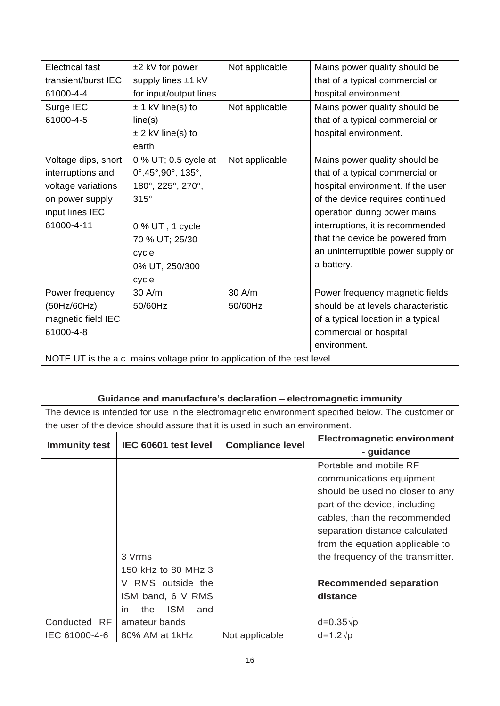| <b>Electrical fast</b>                                                    | ±2 kV for power                                 | Not applicable | Mains power quality should be      |  |
|---------------------------------------------------------------------------|-------------------------------------------------|----------------|------------------------------------|--|
| transient/burst IEC                                                       | supply lines ±1 kV                              |                | that of a typical commercial or    |  |
| 61000-4-4                                                                 | for input/output lines                          |                | hospital environment.              |  |
| Surge IEC                                                                 | $± 1$ kV line(s) to                             | Not applicable | Mains power quality should be      |  |
| 61000-4-5                                                                 | line(s)                                         |                | that of a typical commercial or    |  |
|                                                                           | $\pm$ 2 kV line(s) to                           |                | hospital environment.              |  |
|                                                                           | earth                                           |                |                                    |  |
| Voltage dips, short                                                       | 0 % UT; 0.5 cycle at                            | Not applicable | Mains power quality should be      |  |
| interruptions and                                                         | $0^{\circ},45^{\circ},90^{\circ}, 135^{\circ},$ |                | that of a typical commercial or    |  |
| voltage variations                                                        | 180°, 225°, 270°,                               |                | hospital environment. If the user  |  |
| on power supply                                                           | $315^\circ$                                     |                | of the device requires continued   |  |
| input lines IEC                                                           |                                                 |                | operation during power mains       |  |
| 61000-4-11                                                                | $0\%$ UT; 1 cycle                               |                | interruptions, it is recommended   |  |
|                                                                           | 70 % UT; 25/30                                  |                | that the device be powered from    |  |
|                                                                           | cycle                                           |                | an uninterruptible power supply or |  |
|                                                                           | 0% UT; 250/300                                  |                | a battery.                         |  |
|                                                                           | cycle                                           |                |                                    |  |
| Power frequency                                                           | $30$ A/m                                        | $30$ A/m       | Power frequency magnetic fields    |  |
| (50Hz/60Hz)                                                               | 50/60Hz                                         | 50/60Hz        | should be at levels characteristic |  |
| magnetic field IEC                                                        |                                                 |                | of a typical location in a typical |  |
| 61000-4-8                                                                 |                                                 |                | commercial or hospital             |  |
|                                                                           |                                                 |                | environment.                       |  |
| NOTE UT is the a.c. mains voltage prior to application of the test level. |                                                 |                |                                    |  |

| Guidance and manufacture's declaration - electromagnetic immunity                                  |                                                                              |                         |                                    |  |
|----------------------------------------------------------------------------------------------------|------------------------------------------------------------------------------|-------------------------|------------------------------------|--|
| The device is intended for use in the electromagnetic environment specified below. The customer or |                                                                              |                         |                                    |  |
|                                                                                                    | the user of the device should assure that it is used in such an environment. |                         |                                    |  |
| <b>Immunity test</b>                                                                               | IEC 60601 test level                                                         | <b>Compliance level</b> | <b>Electromagnetic environment</b> |  |
|                                                                                                    |                                                                              |                         | - guidance                         |  |
|                                                                                                    |                                                                              |                         | Portable and mobile RF             |  |
|                                                                                                    |                                                                              |                         | communications equipment           |  |
|                                                                                                    |                                                                              |                         | should be used no closer to any    |  |
|                                                                                                    |                                                                              |                         | part of the device, including      |  |
|                                                                                                    |                                                                              |                         | cables, than the recommended       |  |
|                                                                                                    |                                                                              |                         | separation distance calculated     |  |
|                                                                                                    |                                                                              |                         | from the equation applicable to    |  |
|                                                                                                    | 3 Vrms                                                                       |                         | the frequency of the transmitter.  |  |
|                                                                                                    | 150 kHz to 80 MHz 3                                                          |                         |                                    |  |
|                                                                                                    | V RMS outside the                                                            |                         | <b>Recommended separation</b>      |  |
|                                                                                                    | ISM band, 6 V RMS                                                            |                         | distance                           |  |
|                                                                                                    | <b>ISM</b><br>the<br>and<br>in.                                              |                         |                                    |  |
| Conducted RF                                                                                       | amateur bands                                                                |                         | $d=0.35\sqrt{p}$                   |  |
| IEC 61000-4-6                                                                                      | 80% AM at 1kHz                                                               | Not applicable          | $d=1.2\sqrt{p}$                    |  |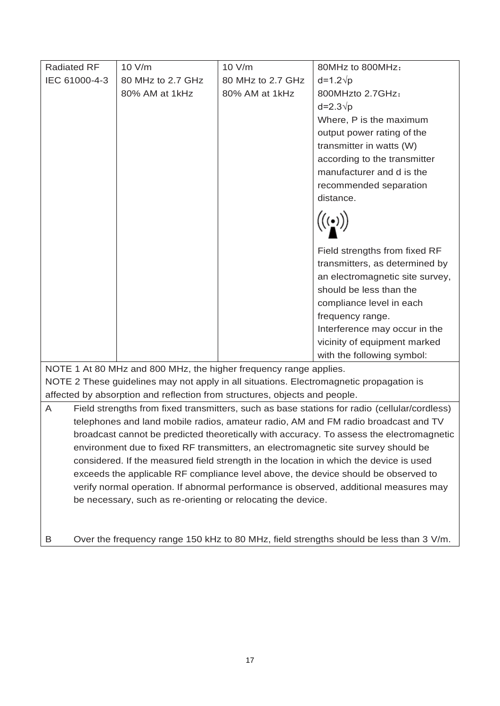| <b>Radiated RF</b>                                                                       | 10 V/m                                                                             | 10 V/m            | 80MHz to 800MHz:                                                                             |  |  |  |
|------------------------------------------------------------------------------------------|------------------------------------------------------------------------------------|-------------------|----------------------------------------------------------------------------------------------|--|--|--|
| IEC 61000-4-3                                                                            | 80 MHz to 2.7 GHz                                                                  | 80 MHz to 2.7 GHz | $d=1.2\sqrt{p}$                                                                              |  |  |  |
|                                                                                          | 80% AM at 1kHz                                                                     | 80% AM at 1kHz    | 800MHzto 2.7GHz:                                                                             |  |  |  |
|                                                                                          |                                                                                    |                   | $d=2.3\sqrt{p}$                                                                              |  |  |  |
|                                                                                          |                                                                                    |                   | Where, P is the maximum                                                                      |  |  |  |
|                                                                                          |                                                                                    |                   | output power rating of the                                                                   |  |  |  |
|                                                                                          |                                                                                    |                   | transmitter in watts (W)                                                                     |  |  |  |
|                                                                                          |                                                                                    |                   | according to the transmitter                                                                 |  |  |  |
|                                                                                          |                                                                                    |                   | manufacturer and d is the                                                                    |  |  |  |
|                                                                                          |                                                                                    |                   | recommended separation                                                                       |  |  |  |
|                                                                                          |                                                                                    |                   | distance.                                                                                    |  |  |  |
|                                                                                          |                                                                                    |                   |                                                                                              |  |  |  |
|                                                                                          |                                                                                    |                   | Field strengths from fixed RF                                                                |  |  |  |
|                                                                                          |                                                                                    |                   | transmitters, as determined by                                                               |  |  |  |
|                                                                                          |                                                                                    |                   | an electromagnetic site survey,                                                              |  |  |  |
|                                                                                          |                                                                                    |                   | should be less than the                                                                      |  |  |  |
|                                                                                          |                                                                                    |                   | compliance level in each                                                                     |  |  |  |
|                                                                                          |                                                                                    |                   | frequency range.                                                                             |  |  |  |
|                                                                                          |                                                                                    |                   | Interference may occur in the                                                                |  |  |  |
|                                                                                          |                                                                                    |                   | vicinity of equipment marked                                                                 |  |  |  |
|                                                                                          |                                                                                    |                   | with the following symbol:                                                                   |  |  |  |
|                                                                                          | NOTE 1 At 80 MHz and 800 MHz, the higher frequency range applies.                  |                   |                                                                                              |  |  |  |
| NOTE 2 These guidelines may not apply in all situations. Electromagnetic propagation is  |                                                                                    |                   |                                                                                              |  |  |  |
| affected by absorption and reflection from structures, objects and people.               |                                                                                    |                   |                                                                                              |  |  |  |
| A                                                                                        |                                                                                    |                   | Field strengths from fixed transmitters, such as base stations for radio (cellular/cordless) |  |  |  |
|                                                                                          | telephones and land mobile radios, amateur radio, AM and FM radio broadcast and TV |                   |                                                                                              |  |  |  |
| broadcast cannot be predicted theoretically with accuracy. To assess the electromagnetic |                                                                                    |                   |                                                                                              |  |  |  |
| environment due to fixed RF transmitters, an electromagnetic site survey should be       |                                                                                    |                   |                                                                                              |  |  |  |
| considered. If the measured field strength in the location in which the device is used   |                                                                                    |                   |                                                                                              |  |  |  |
| exceeds the applicable RF compliance level above, the device should be observed to       |                                                                                    |                   |                                                                                              |  |  |  |
| verify normal operation. If abnormal performance is observed, additional measures may    |                                                                                    |                   |                                                                                              |  |  |  |
| be necessary, such as re-orienting or relocating the device.                             |                                                                                    |                   |                                                                                              |  |  |  |
|                                                                                          |                                                                                    |                   |                                                                                              |  |  |  |
|                                                                                          |                                                                                    |                   |                                                                                              |  |  |  |

B Over the frequency range 150 kHz to 80 MHz, field strengths should be less than 3 V/m.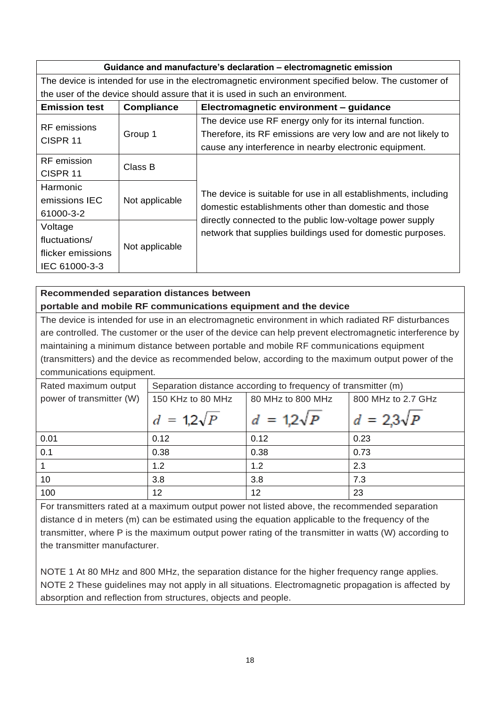### **Guidance and manufacture's declaration – electromagnetic emission**

The device is intended for use in the electromagnetic environment specified below. The customer of the user of the device should assure that it is used in such an environment.

| <b>Emission test</b>                | <b>Compliance</b> | Electromagnetic environment - guidance                                                                                     |  |  |  |
|-------------------------------------|-------------------|----------------------------------------------------------------------------------------------------------------------------|--|--|--|
| RF emissions<br>CISPR <sub>11</sub> | Group 1           | The device use RF energy only for its internal function.<br>Therefore, its RF emissions are very low and are not likely to |  |  |  |
| RF emission                         |                   | cause any interference in nearby electronic equipment.                                                                     |  |  |  |
| CISPR <sub>11</sub>                 | Class B           |                                                                                                                            |  |  |  |
| Harmonic                            |                   | The device is suitable for use in all establishments, including<br>domestic establishments other than domestic and those   |  |  |  |
| emissions IEC                       | Not applicable    |                                                                                                                            |  |  |  |
| 61000-3-2                           |                   | directly connected to the public low-voltage power supply                                                                  |  |  |  |
| Voltage<br>fluctuations/            |                   | network that supplies buildings used for domestic purposes.                                                                |  |  |  |
| flicker emissions                   | Not applicable    |                                                                                                                            |  |  |  |
| IEC 61000-3-3                       |                   |                                                                                                                            |  |  |  |

### **Recommended separation distances between portable and mobile RF communications equipment and the device**

The device is intended for use in an electromagnetic environment in which radiated RF disturbances are controlled. The customer or the user of the device can help prevent electromagnetic interference by maintaining a minimum distance between portable and mobile RF communications equipment (transmitters) and the device as recommended below, according to the maximum output power of the communications equipment.

| Rated maximum output     | Separation distance according to frequency of transmitter (m) |                   |                    |  |  |
|--------------------------|---------------------------------------------------------------|-------------------|--------------------|--|--|
| power of transmitter (W) | 150 KHz to 80 MHz                                             | 80 MHz to 800 MHz | 800 MHz to 2.7 GHz |  |  |
|                          | $d = 1.2\sqrt{P}$                                             | $d = 1.2\sqrt{P}$ | $d = 2.3\sqrt{P}$  |  |  |
| 0.01                     | 0.12                                                          | 0.12              | 0.23               |  |  |
| 0.1                      | 0.38                                                          | 0.38              | 0.73               |  |  |
|                          | 1.2                                                           | 1.2               | 2.3                |  |  |
| 10                       | 3.8                                                           | 3.8               | 7.3                |  |  |
| 100                      | 12                                                            | 12                | 23                 |  |  |

For transmitters rated at a maximum output power not listed above, the recommended separation distance d in meters (m) can be estimated using the equation applicable to the frequency of the transmitter, where P is the maximum output power rating of the transmitter in watts (W) according to the transmitter manufacturer.

NOTE 1 At 80 MHz and 800 MHz, the separation distance for the higher frequency range applies. NOTE 2 These guidelines may not apply in all situations. Electromagnetic propagation is affected by absorption and reflection from structures, objects and people.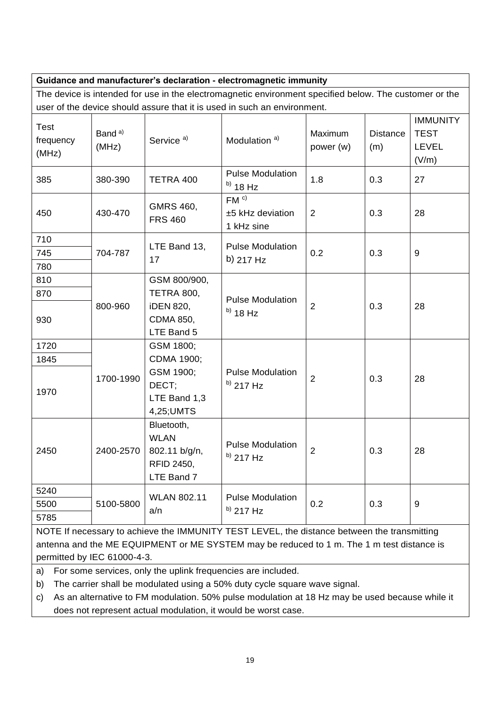| Guidance and manufacturer's declaration - electromagnetic immunity                                     |                             |                                                                                               |                                                   |                      |                        |                                                         |  |  |
|--------------------------------------------------------------------------------------------------------|-----------------------------|-----------------------------------------------------------------------------------------------|---------------------------------------------------|----------------------|------------------------|---------------------------------------------------------|--|--|
| The device is intended for use in the electromagnetic environment specified below. The customer or the |                             |                                                                                               |                                                   |                      |                        |                                                         |  |  |
| user of the device should assure that it is used in such an environment.                               |                             |                                                                                               |                                                   |                      |                        |                                                         |  |  |
| <b>Test</b><br>frequency<br>(MHz)                                                                      | Band <sup>a)</sup><br>(MHz) | Service <sup>a)</sup>                                                                         | Modulation <sup>a)</sup>                          | Maximum<br>power (w) | <b>Distance</b><br>(m) | <b>IMMUNITY</b><br><b>TEST</b><br><b>LEVEL</b><br>(V/m) |  |  |
| 385                                                                                                    | 380-390                     | TETRA 400                                                                                     | <b>Pulse Modulation</b><br>$^{b)}$ 18 Hz          | 1.8                  | 0.3                    | 27                                                      |  |  |
| 450                                                                                                    | 430-470                     | GMRS 460,<br><b>FRS 460</b>                                                                   | FM <sup>c</sup><br>±5 kHz deviation<br>1 kHz sine | 2                    | 0.3                    | 28                                                      |  |  |
| 710                                                                                                    |                             |                                                                                               | <b>Pulse Modulation</b>                           |                      | 0.3                    | $9\,$                                                   |  |  |
| 745                                                                                                    | 704-787                     | LTE Band 13,<br>17                                                                            | b) 217 Hz                                         | 0.2                  |                        |                                                         |  |  |
| 780                                                                                                    |                             |                                                                                               |                                                   |                      |                        |                                                         |  |  |
| 810                                                                                                    |                             | GSM 800/900,                                                                                  |                                                   | $\overline{2}$       | 0.3                    | 28                                                      |  |  |
| 870                                                                                                    |                             | <b>TETRA 800,</b>                                                                             | <b>Pulse Modulation</b>                           |                      |                        |                                                         |  |  |
| 930                                                                                                    | 800-960                     | <b>iDEN 820,</b><br><b>CDMA 850,</b><br>LTE Band 5                                            | $^{b)}$ 18 Hz                                     |                      |                        |                                                         |  |  |
| 1720                                                                                                   | 1700-1990                   | GSM 1800;                                                                                     |                                                   |                      |                        |                                                         |  |  |
| 1845                                                                                                   |                             | CDMA 1900;                                                                                    |                                                   |                      |                        |                                                         |  |  |
| 1970                                                                                                   |                             | GSM 1900;<br><b>Pulse Modulation</b><br>DECT;<br>$^{b)}$ 217 Hz<br>LTE Band 1,3<br>4,25; UMTS | $\overline{2}$                                    | 0.3                  | 28                     |                                                         |  |  |
| 2450                                                                                                   |                             | Bluetooth,<br><b>WLAN</b><br>2400-2570   802.11 b/g/n,<br><b>RFID 2450,</b><br>LTE Band 7     | <b>Pulse Modulation</b><br>$^{b)}$ 217 Hz         | $\overline{2}$       | 0.3                    | 28                                                      |  |  |
| 5240                                                                                                   |                             | <b>WLAN 802.11</b><br>a/n                                                                     | <b>Pulse Modulation</b><br>$^{b)}$ 217 Hz         | 0.2                  | 0.3                    | 9                                                       |  |  |
| 5500                                                                                                   | 5100-5800                   |                                                                                               |                                                   |                      |                        |                                                         |  |  |
| 5785                                                                                                   |                             |                                                                                               |                                                   |                      |                        |                                                         |  |  |
| NOTE If necessary to achieve the IMMI INITY TEST LEVEL, the distance between the transmitting          |                             |                                                                                               |                                                   |                      |                        |                                                         |  |  |

NOTE If necessary to achieve the IMMUNITY TEST LEVEL, the distance between the transmitting antenna and the ME EQUIPMENT or ME SYSTEM may be reduced to 1 m. The 1 m test distance is permitted by IEC 61000-4-3.

a) For some services, only the uplink frequencies are included.

b) The carrier shall be modulated using a 50% duty cycle square wave signal.

c) As an alternative to FM modulation. 50% pulse modulation at 18 Hz may be used because while it does not represent actual modulation, it would be worst case.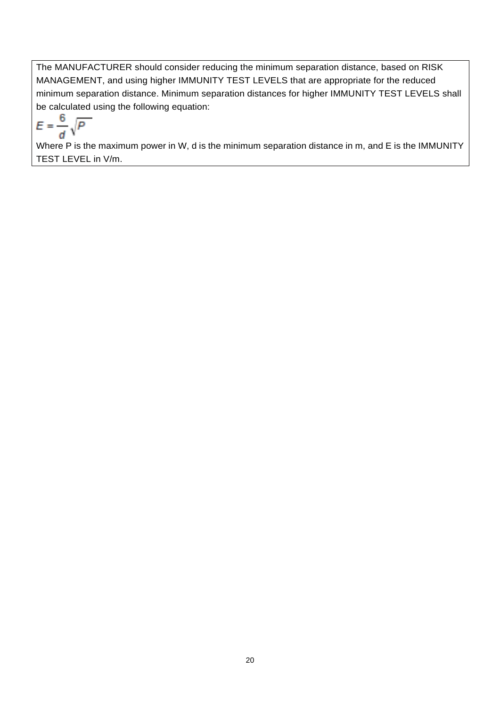The MANUFACTURER should consider reducing the minimum separation distance, based on RISK MANAGEMENT, and using higher IMMUNITY TEST LEVELS that are appropriate for the reduced minimum separation distance. Minimum separation distances for higher IMMUNITY TEST LEVELS shall be calculated using the following equation:

$$
E=\frac{6}{d}\sqrt{P}
$$

Where P is the maximum power in W, d is the minimum separation distance in m, and E is the IMMUNITY TEST LEVEL in V/m.